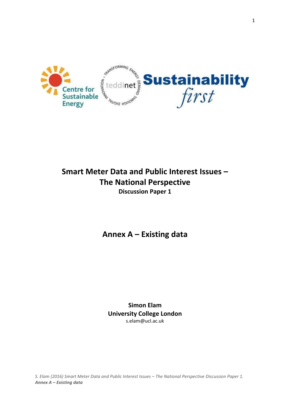

# **Smart Meter Data and Public Interest Issues – The National Perspective Discussion Paper 1**

**Annex A – Existing data**

**Simon Elam University College London** s.elam@ucl.ac.uk

*S. Elam (2016) Smart Meter Data and Public Interest Issues – The National Perspective Discussion Paper 1. Annex A – Existing data*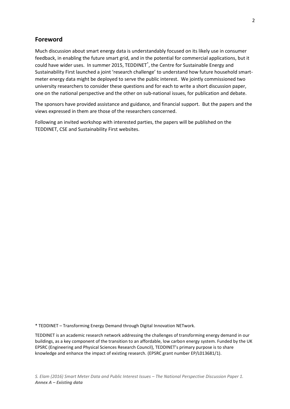### **Foreword**

Much discussion about smart energy data is understandably focused on its likely use in consumer feedback, in enabling the future smart grid, and in the potential for commercial applications, but it could have wider uses. In summer 2015, TEDDINET\* , the Centre for Sustainable Energy and Sustainability First launched a joint 'research challenge' to understand how future household smartmeter energy data might be deployed to serve the public interest. We jointly commissioned two university researchers to consider these questions and for each to write a short discussion paper, one on the national perspective and the other on sub-national issues, for publication and debate.

The sponsors have provided assistance and guidance, and financial support. But the papers and the views expressed in them are those of the researchers concerned.

Following an invited workshop with interested parties, the papers will be published on the TEDDINET, CSE and Sustainability First websites.

\* TEDDINET – Transforming Energy Demand through Digital Innovation NETwork.

TEDDINET is an academic research network addressing the challenges of transforming energy demand in our buildings, as a key component of the transition to an affordable, low carbon energy system. Funded by the UK EPSRC (Engineering and Physical Sciences Research Council), TEDDINET's primary purpose is to share knowledge and enhance the impact of existing research. (EPSRC grant number EP/L013681/1).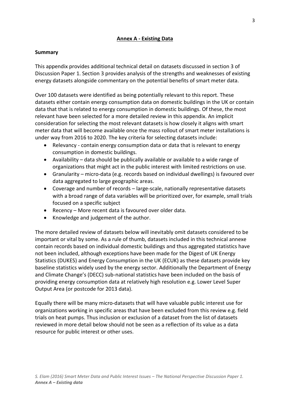### **Annex A - Existing Data**

#### **Summary**

This appendix provides additional technical detail on datasets discussed in section 3 of Discussion Paper 1. Section 3 provides analysis of the strengths and weaknesses of existing energy datasets alongside commentary on the potential benefits of smart meter data.

Over 100 datasets were identified as being potentially relevant to this report. These datasets either contain energy consumption data on domestic buildings in the UK or contain data that that is related to energy consumption in domestic buildings. Of these, the most relevant have been selected for a more detailed review in this appendix. An implicit consideration for selecting the most relevant datasets is how closely it aligns with smart meter data that will become available once the mass rollout of smart meter installations is under way from 2016 to 2020. The key criteria for selecting datasets include:

- Relevancy contain energy consumption data or data that is relevant to energy consumption in domestic buildings.
- Availability data should be publically available or available to a wide range of organizations that might act in the public interest with limited restrictions on use.
- Granularity micro-data (e.g. records based on individual dwellings) is favoured over data aggregated to large geographic areas.
- Coverage and number of records large-scale, nationally representative datasets with a broad range of data variables will be prioritized over, for example, small trials focused on a specific subject
- Recency More recent data is favoured over older data.
- Knowledge and judgement of the author.

The more detailed review of datasets below will inevitably omit datasets considered to be important or vital by some. As a rule of thumb, datasets included in this technical annexe contain records based on individual domestic buildings and thus aggregated statistics have not been included, although exceptions have been made for the Digest of UK Energy Statistics (DUKES) and Energy Consumption in the UK (ECUK) as these datasets provide key baseline statistics widely used by the energy sector. Additionally the Department of Energy and Climate Change's (DECC) sub-national statistics have been included on the basis of providing energy consumption data at relatively high resolution e.g. Lower Level Super Output Area (or postcode for 2013 data).

Equally there will be many micro-datasets that will have valuable public interest use for organizations working in specific areas that have been excluded from this review e.g. field trials on heat pumps. Thus inclusion or exclusion of a dataset from the list of datasets reviewed in more detail below should not be seen as a reflection of its value as a data resource for public interest or other uses.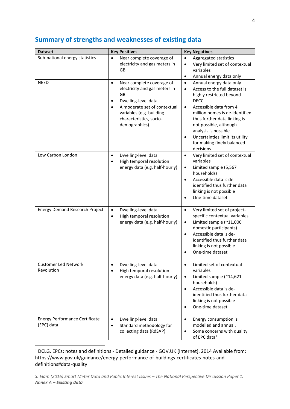| <b>Dataset</b>                                      | <b>Key Positives</b>                                                                                                                                                                                          | <b>Key Negatives</b>                                                                                                                                                                                                                                                                                                                                                            |
|-----------------------------------------------------|---------------------------------------------------------------------------------------------------------------------------------------------------------------------------------------------------------------|---------------------------------------------------------------------------------------------------------------------------------------------------------------------------------------------------------------------------------------------------------------------------------------------------------------------------------------------------------------------------------|
| Sub-national energy statistics                      | Near complete coverage of<br>$\bullet$<br>electricity and gas meters in<br><b>GB</b>                                                                                                                          | Aggregated statistics<br>$\bullet$<br>Very limited set of contextual<br>$\bullet$<br>variables<br>Annual energy data only<br>$\bullet$                                                                                                                                                                                                                                          |
| <b>NEED</b>                                         | Near complete coverage of<br>$\bullet$<br>electricity and gas meters in<br>GB<br>Dwelling-level data<br>A moderate set of contextual<br>variables (e.g. building<br>characteristics, socio-<br>demographics). | Annual energy data only<br>$\bullet$<br>Access to the full dataset is<br>$\bullet$<br>highly restricted beyond<br>DECC.<br>Accessible data from 4<br>$\bullet$<br>million homes is de-identified<br>thus further data linking is<br>not possible, although<br>analysis is possible.<br>Uncertainties limit its utility<br>$\bullet$<br>for making finely balanced<br>decisions. |
| Low Carbon London                                   | Dwelling-level data<br>$\bullet$<br>High temporal resolution<br>energy data (e.g. half-hourly)                                                                                                                | Very limited set of contextual<br>$\bullet$<br>variables<br>Limited sample (5,567<br>$\bullet$<br>households)<br>Accessible data is de-<br>$\bullet$<br>identified thus further data<br>linking is not possible<br>One-time dataset<br>$\bullet$                                                                                                                                |
| <b>Energy Demand Research Project</b>               | Dwelling-level data<br>$\bullet$<br>High temporal resolution<br>$\bullet$<br>energy data (e.g. half-hourly)                                                                                                   | Very limited set of project-<br>$\bullet$<br>specific contextual variables<br>Limited sample (~11,000<br>$\bullet$<br>domestic participants)<br>Accessible data is de-<br>$\bullet$<br>identified thus further data<br>linking is not possible<br>One-time dataset<br>$\bullet$                                                                                                 |
| <b>Customer Led Network</b><br>Revolution           | Dwelling-level data<br>High temporal resolution<br>$\bullet$<br>energy data (e.g. half-hourly)                                                                                                                | Limited set of contextual<br>variables<br>Limited sample (~14,621<br>$\bullet$<br>households)<br>Accessible data is de-<br>$\bullet$<br>identified thus further data<br>linking is not possible<br>One-time dataset                                                                                                                                                             |
| <b>Energy Performance Certificate</b><br>(EPC) data | Dwelling-level data<br>$\bullet$<br>Standard methodology for<br>$\bullet$<br>collecting data (RdSAP)                                                                                                          | Energy consumption is<br>$\bullet$<br>modelled and annual.<br>Some concerns with quality<br>$\bullet$<br>of EPC data <sup>1</sup>                                                                                                                                                                                                                                               |

## **Summary of strengths and weaknesses of existing data**

<sup>1</sup> DCLG. EPCs: notes and definitions - Detailed guidance - GOV.UK [Internet]. 2014 Available from: https://www.gov.uk/guidance/energy-performance-of-buildings-certificates-notes-anddefinitions#data-quality

**.**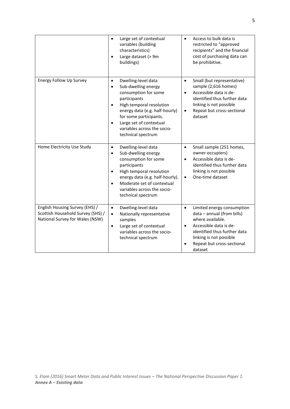|                                                                                                        | Large set of contextual<br>$\bullet$<br>variables (building<br>characteristics)<br>Large dataset (> 9m<br>buildings)                                                                                                                                                    | Access to bulk data is<br>$\bullet$<br>restricted to "approved<br>recipients" and the financial<br>cost of purchasing data can<br>be prohibitive.                                                                                    |
|--------------------------------------------------------------------------------------------------------|-------------------------------------------------------------------------------------------------------------------------------------------------------------------------------------------------------------------------------------------------------------------------|--------------------------------------------------------------------------------------------------------------------------------------------------------------------------------------------------------------------------------------|
| Energy Follow Up Survey                                                                                | Dwelling-level data<br>$\bullet$<br>Sub-dwelling energy<br>consumption for some<br>participants<br>High temporal resolution<br>energy data (e.g. half-hourly)<br>for some participants.<br>Large set of contextual<br>variables across the socio-<br>technical spectrum | Small (but representative)<br>$\bullet$<br>sample (2,616 homes)<br>Accessible data is de-<br>$\bullet$<br>identified thus further data<br>linking is not possible<br>Repeat but cross-sectional<br>$\bullet$<br>dataset              |
| Home Electricity Use Study                                                                             | Dwelling-level data<br>$\bullet$<br>Sub-dwelling energy<br>$\bullet$<br>consumption for some<br>participants<br>High temporal resolution<br>energy data (e.g. half-hourly).<br>Moderate set of contextual<br>variables across the socio-<br>technical spectrum          | Small sample (251 homes,<br>$\bullet$<br>owner-occupiers)<br>Accessible data is de-<br>$\bullet$<br>identified thus further data<br>linking is not possible<br>One-time dataset<br>$\bullet$                                         |
| English Housing Survey (EHS) /<br>Scottish Household Survey (SHS) /<br>National Survey for Wales (NSW) | Dwelling-level data<br>$\bullet$<br>Nationally representative<br>$\bullet$<br>samples<br>Large set of contextual<br>$\bullet$<br>variables across the socio-<br>technical spectrum                                                                                      | Limited energy consumption<br>$\bullet$<br>data - annual (from bills)<br>where available.<br>Accessible data is de-<br>$\bullet$<br>identified thus further data<br>linking is not possible<br>Repeat but cross-sectional<br>dataset |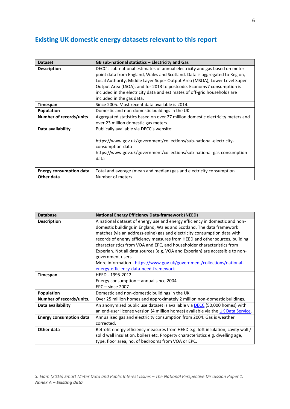# **Existing UK domestic energy datasets relevant to this report**

| <b>Dataset</b>                 | GB sub-national statistics - Electricity and Gas                               |
|--------------------------------|--------------------------------------------------------------------------------|
| <b>Description</b>             | DECC's sub-national estimates of annual electricity and gas based on meter     |
|                                | point data from England, Wales and Scotland. Data is aggregated to Region,     |
|                                | Local Authority, Middle Layer Super Output Area (MSOA), Lower Level Super      |
|                                | Output Area (LSOA), and for 2013 to postcode. Economy7 consumption is          |
|                                | included in the electricity data and estimates of off-grid households are      |
|                                | included in the gas data.                                                      |
| Timespan                       | Since 2005. Most recent data available is 2014.                                |
| <b>Population</b>              | Domestic and non-domestic buildings in the UK                                  |
| Number of records/units        | Aggregated statistics based on over 27 million domestic electricity meters and |
|                                | over 23 million domestic gas meters.                                           |
| Data availability              | Publically available via DECC's website:                                       |
|                                |                                                                                |
|                                | https://www.gov.uk/government/collections/sub-national-electricity-            |
|                                | consumption-data                                                               |
|                                | https://www.gov.uk/government/collections/sub-national-gas-consumption-        |
|                                | data                                                                           |
|                                |                                                                                |
| <b>Energy consumption data</b> | Total and average (mean and median) gas and electricity consumption            |
| Other data                     | Number of meters                                                               |

| <b>Database</b>                | <b>National Energy Efficiency Data-framework (NEED)</b>                           |
|--------------------------------|-----------------------------------------------------------------------------------|
| <b>Description</b>             | A national dataset of energy use and energy efficiency in domestic and non-       |
|                                | domestic buildings in England, Wales and Scotland. The data framework             |
|                                | matches (via an address-spine) gas and electricity consumption data with          |
|                                | records of energy efficiency measures from HEED and other sources, building       |
|                                | characteristics from VOA and EPC, and householder characteristics from            |
|                                | Experian. Not all data sources (e.g. VOA and Experian) are accessible to non-     |
|                                | government users.                                                                 |
|                                | More information - https://www.gov.uk/government/collections/national-            |
|                                | energy-efficiency-data-need-framework                                             |
| Timespan                       | HEED - 1995-2012                                                                  |
|                                | Energy consumption - annual since 2004                                            |
|                                | $EPC - since 2007$                                                                |
| <b>Population</b>              | Domestic and non-domestic buildings in the UK                                     |
| Number of records/units.       | Over 25 million homes and approximately 2 million non-domestic buildings.         |
| Data availability              | An anonymized public use dataset is available via DECC (50,000 homes) with        |
|                                | an end-user license version (4 million homes) available via the UK Data Service.  |
| <b>Energy consumption data</b> | Annualised gas and electricity consumption from 2004. Gas is weather              |
|                                | corrected.                                                                        |
| Other data                     | Retrofit energy efficiency measures from HEED e.g. loft insulation, cavity wall / |
|                                | solid wall insulation, boilers etc. Property characteristics e.g. dwelling age,   |
|                                | type, floor area, no. of bedrooms from VOA or EPC.                                |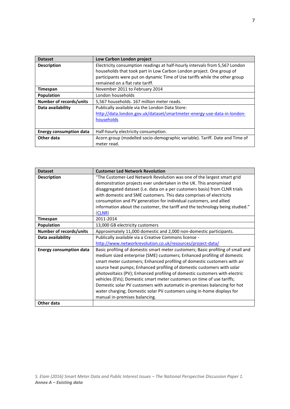| <b>Dataset</b>                 | Low Carbon London project                                                   |
|--------------------------------|-----------------------------------------------------------------------------|
| <b>Description</b>             | Electricity consumption readings at half-hourly intervals from 5,567 London |
|                                | households that took part in Low Carbon London project. One group of        |
|                                | participants were put on dynamic Time of Use tariffs while the other group  |
|                                | remained on a flat rate tariff.                                             |
| <b>Timespan</b>                | November 2011 to February 2014                                              |
| <b>Population</b>              | London households                                                           |
| <b>Number of records/units</b> | 5,567 households. 167 million meter reads.                                  |
| Data availability              | Publically available via the London Data Store:                             |
|                                | http://data.london.gov.uk/dataset/smartmeter-energy-use-data-in-london-     |
|                                | households                                                                  |
|                                |                                                                             |
| <b>Energy consumption data</b> | Half-hourly electricity consumption.                                        |
| Other data                     | Acorn group (modelled socio-demographic variable). Tariff. Date and Time of |
|                                | meter read.                                                                 |

| <b>Dataset</b>                 | <b>Customer Led Network Revolution</b>                                          |
|--------------------------------|---------------------------------------------------------------------------------|
| <b>Description</b>             | "The Customer-Led Network Revolution was one of the largest smart grid          |
|                                | demonstration projects ever undertaken in the UK. This anonymised               |
|                                | disaggregated dataset (i.e. data on a per customers basis) from CLNR trials     |
|                                | with domestic and SME customers. This data comprises of electricity             |
|                                | consumption and PV generation for individual customers, and allied              |
|                                | information about the customer, the tariff and the technology being studied."   |
|                                | (CLNR)                                                                          |
| Timespan                       | 2011-2014                                                                       |
| Population                     | 13,000 GB electricity customers                                                 |
| Number of records/units        | Approximately 11,000 domestic and 2,000 non-domestic participants.              |
| Data availability              | Publically available via a Creative Commons license -                           |
|                                | http://www.networkrevolution.co.uk/resources/project-data/                      |
| <b>Energy consumption data</b> | Basic profiling of domestic smart meter customers; Basic profiling of small and |
|                                | medium sized enterprise (SME) customers; Enhanced profiling of domestic         |
|                                | smart meter customers; Enhanced profiling of domestic customers with air        |
|                                | source heat pumps; Enhanced profiling of domestic customers with solar          |
|                                | photovoltaics (PV); Enhanced profiling of domestic customers with electric      |
|                                | vehicles (EVs); Domestic smart meter customers on time of use tariffs;          |
|                                | Domestic solar PV customers with automatic in-premises balancing for hot        |
|                                | water charging; Domestic solar PV customers using in-home displays for          |
|                                | manual in-premises balancing.                                                   |
| Other data                     |                                                                                 |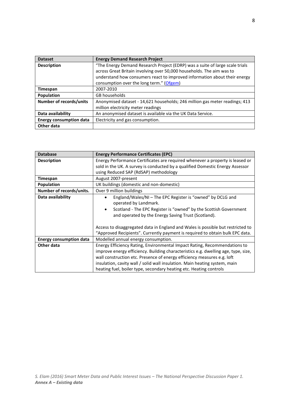| <b>Dataset</b>                 | <b>Energy Demand Research Project</b>                                        |
|--------------------------------|------------------------------------------------------------------------------|
| <b>Description</b>             | "The Energy Demand Research Project (EDRP) was a suite of large scale trials |
|                                | across Great Britain involving over 50,000 households. The aim was to        |
|                                | understand how consumers react to improved information about their energy    |
|                                | consumption over the long term." (Ofgem)                                     |
| Timespan                       | 2007-2010                                                                    |
| Population                     | GB households                                                                |
| <b>Number of records/units</b> | Anonymised dataset - 14,621 households; 246 million gas meter readings; 413  |
|                                | million electricity meter readings                                           |
| Data availability              | An anonymised dataset is available via the UK Data Service.                  |
| <b>Energy consumption data</b> | Electricity and gas consumption.                                             |
| Other data                     |                                                                              |

| <b>Database</b>                | <b>Energy Performance Certificates (EPC)</b>                                       |
|--------------------------------|------------------------------------------------------------------------------------|
| <b>Description</b>             | Energy Performance Certificates are required whenever a property is leased or      |
|                                | sold in the UK. A survey is conducted by a qualified Domestic Energy Assessor      |
|                                | using Reduced SAP (RdSAP) methodology                                              |
| Timespan                       | August 2007-present                                                                |
| Population                     | UK buildings (domestic and non-domestic)                                           |
| Number of records/units.       | Over 9 million buildings                                                           |
| Data availability              | England/Wales/NI - The EPC Register is "owned" by DCLG and                         |
|                                | operated by Landmark.                                                              |
|                                | Scotland - The EPC Register is "owned" by the Scottish Government<br>$\bullet$     |
|                                | and operated by the Energy Saving Trust (Scotland).                                |
|                                |                                                                                    |
|                                | Access to disaggregated data in England and Wales is possible but restricted to    |
|                                | "Approved Recipients". Currently payment is required to obtain bulk EPC data.      |
| <b>Energy consumption data</b> | Modelled annual energy consumption.                                                |
| Other data                     | Energy Efficiency Rating, Environmental Impact Rating, Recommendations to          |
|                                | improve energy efficiency. Building characteristics e.g. dwelling age, type, size, |
|                                | wall construction etc. Presence of energy efficiency measures e.g. loft            |
|                                | insulation, cavity wall / solid wall insulation. Main heating system, main         |
|                                | heating fuel, boiler type, secondary heating etc. Heating controls                 |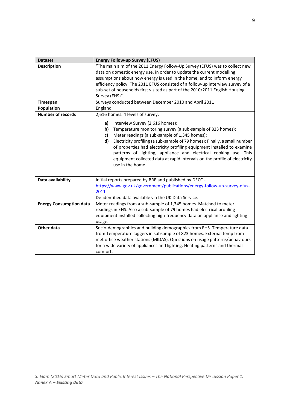| <b>Dataset</b>                 | <b>Energy Follow-up Survey (EFUS)</b>                                           |  |
|--------------------------------|---------------------------------------------------------------------------------|--|
| <b>Description</b>             | "The main aim of the 2011 Energy Follow-Up Survey (EFUS) was to collect new     |  |
|                                | data on domestic energy use, in order to update the current modelling           |  |
|                                | assumptions about how energy is used in the home, and to inform energy          |  |
|                                | efficiency policy. The 2011 EFUS consisted of a follow-up interview survey of a |  |
|                                | sub-set of households first visited as part of the 2010/2011 English Housing    |  |
|                                | Survey (EHS)".                                                                  |  |
| Timespan                       | Surveys conducted between December 2010 and April 2011                          |  |
| Population                     | England                                                                         |  |
| <b>Number of records</b>       | 2,616 homes. 4 levels of survey:                                                |  |
|                                | Interview Survey (2,616 homes):<br>a)                                           |  |
|                                | Temperature monitoring survey (a sub-sample of 823 homes):<br>b)                |  |
|                                | Meter readings (a sub-sample of 1,345 homes):<br>c)                             |  |
|                                | d)<br>Electricity profiling (a sub-sample of 79 homes): Finally, a small number |  |
|                                | of properties had electricity profiling equipment installed to examine          |  |
|                                | patterns of lighting, appliance and electrical cooking use. This                |  |
|                                | equipment collected data at rapid intervals on the profile of electricity       |  |
|                                | use in the home.                                                                |  |
|                                |                                                                                 |  |
| Data availability              | Initial reports prepared by BRE and published by DECC -                         |  |
|                                | https://www.gov.uk/government/publications/energy-follow-up-survey-efus-        |  |
|                                | 2011                                                                            |  |
|                                | De-identified data available via the UK Data Service.                           |  |
| <b>Energy Consumption data</b> | Meter readings from a sub-sample of 1,345 homes. Matched to meter               |  |
|                                | readings in EHS. Also a sub-sample of 79 homes had electrical profiling         |  |
|                                | equipment installed collecting high-frequency data on appliance and lighting    |  |
|                                | usage.                                                                          |  |
| <b>Other data</b>              | Socio-demographics and building demographics from EHS. Temperature data         |  |
|                                | from Temperature loggers in subsample of 823 homes. External temp from          |  |
|                                | met office weather stations (MIDAS). Questions on usage patterns/behaviours     |  |
|                                | for a wide variety of appliances and lighting. Heating patterns and thermal     |  |
|                                | comfort.                                                                        |  |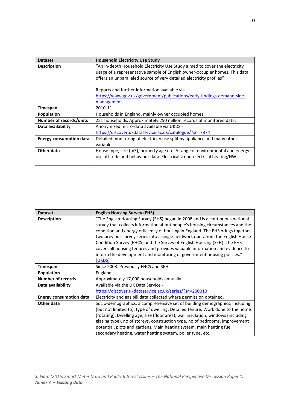| <b>Dataset</b>                 | <b>Household Electricity Use Study</b>                                       |
|--------------------------------|------------------------------------------------------------------------------|
| <b>Description</b>             | "An in-depth Household Electricity Use Study aimed to cover the electricity  |
|                                | usage of a representative sample of English owner-occupier homes. This data  |
|                                | offers an unparalleled source of very detailed electricity profiles"         |
|                                |                                                                              |
|                                | Reports and further information available via                                |
|                                | https://www.gov.uk/government/publications/early-findings-demand-side-       |
|                                | management                                                                   |
| Timespan                       | 2010-11                                                                      |
| <b>Population</b>              | Households in England, mainly owner occupied homes                           |
| Number of records/units        | 251 households. Approximately 250 million records of monitored data.         |
| Data availability              | Anonymized micro-data available via UKDS -                                   |
|                                | https://discover.ukdataservice.ac.uk/catalogue/?sn=7874                      |
| <b>Energy consumption data</b> | Detailed monitoring of electricity use split by appliance and many other     |
|                                | variables                                                                    |
| Other data                     | House type, size (m3), property age etc. A range of environmental and energy |
|                                | use attitude and behaviour data. Electrical v non-electrical heating/HW      |
|                                |                                                                              |

| <b>Dataset</b>                 | <b>English Housing Survey (EHS)</b>                                                                                                                                                                                                                                                                                                                                                                                                                                                                                                                                                |
|--------------------------------|------------------------------------------------------------------------------------------------------------------------------------------------------------------------------------------------------------------------------------------------------------------------------------------------------------------------------------------------------------------------------------------------------------------------------------------------------------------------------------------------------------------------------------------------------------------------------------|
| <b>Description</b>             | "The English Housing Survey (EHS) began in 2008 and is a continuous national<br>survey that collects information about people's housing circumstances and the<br>condition and energy efficiency of housing in England. The EHS brings together<br>two previous survey series into a single fieldwork operation: the English House<br>Condition Survey (EHCS) and the Survey of English Housing (SEH). The EHS<br>covers all housing tenures and provides valuable information and evidence to<br>inform the development and monitoring of government housing policies."<br>(UKDS) |
| Timespan                       | Since 2008. Previously EHCS and SEH                                                                                                                                                                                                                                                                                                                                                                                                                                                                                                                                                |
| <b>Population</b>              | England                                                                                                                                                                                                                                                                                                                                                                                                                                                                                                                                                                            |
| <b>Number of records</b>       | Approximately 17,000 households annually.                                                                                                                                                                                                                                                                                                                                                                                                                                                                                                                                          |
| Data availability              | Available via the UK Data Service -                                                                                                                                                                                                                                                                                                                                                                                                                                                                                                                                                |
|                                | https://discover.ukdataservice.ac.uk/series/?sn=200010                                                                                                                                                                                                                                                                                                                                                                                                                                                                                                                             |
| <b>Energy consumption data</b> | Electricity and gas bill data collected where permission obtained.                                                                                                                                                                                                                                                                                                                                                                                                                                                                                                                 |
| Other data                     | Socio-demographics, a comprehensive set of building demographics, including                                                                                                                                                                                                                                                                                                                                                                                                                                                                                                        |
|                                | (but not limited to): type of dwelling; Detailed tenure; Work done to the home                                                                                                                                                                                                                                                                                                                                                                                                                                                                                                     |
|                                | (rotating); Dwelling age, size (floor area), wall insulation, windows (including                                                                                                                                                                                                                                                                                                                                                                                                                                                                                                   |
|                                | glazing type), no of storeys, construction type, no of bedrooms, improvement                                                                                                                                                                                                                                                                                                                                                                                                                                                                                                       |
|                                | potential, plots and gardens, Main heating system, main heating fuel,                                                                                                                                                                                                                                                                                                                                                                                                                                                                                                              |
|                                | secondary heating, water heating system, boiler type, etc.                                                                                                                                                                                                                                                                                                                                                                                                                                                                                                                         |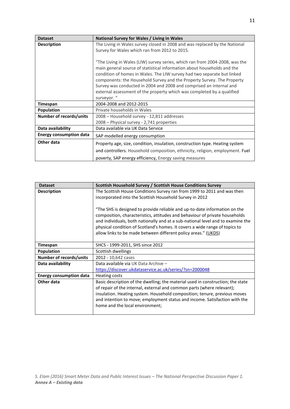| <b>Dataset</b>                 | National Survey for Wales / Living in Wales                                   |
|--------------------------------|-------------------------------------------------------------------------------|
| <b>Description</b>             | The Living in Wales survey closed in 2008 and was replaced by the National    |
|                                | Survey for Wales which ran from 2012 to 2015.                                 |
|                                |                                                                               |
|                                | "The Living in Wales (LIW) survey series, which ran from 2004-2008, was the   |
|                                | main general source of statistical information about households and the       |
|                                | condition of homes in Wales. The LIW survey had two separate but linked       |
|                                | components: the Household Survey and the Property Survey. The Property        |
|                                | Survey was conducted in 2004 and 2008 and comprised an internal and           |
|                                | external assessment of the property which was completed by a qualified        |
|                                | surveyor. "                                                                   |
| Timespan                       | 2004-2008 and 2012-2015                                                       |
| Population                     | Private households in Wales                                                   |
| <b>Number of records/units</b> | 2008 - Household survey - 12,811 addresses                                    |
|                                | 2008 – Physical survey - 2,741 properties                                     |
| Data availability              | Data available via UK Data Service                                            |
| <b>Energy consumption data</b> | SAP modelled energy consumption                                               |
| Other data                     | Property age, size, condition, insulation, construction type. Heating system  |
|                                | and controllers. Household composition, ethnicity, religion, employment. Fuel |
|                                | poverty, SAP energy efficiency, Energy saving measures                        |

| <b>Dataset</b>                 | Scottish Household Survey / Scottish House Conditions Survey                    |
|--------------------------------|---------------------------------------------------------------------------------|
| <b>Description</b>             | The Scottish House Conditions Survey ran from 1999 to 2011 and was then         |
|                                | incorporated into the Scottish Household Survey in 2012                         |
|                                |                                                                                 |
|                                | "The SHS is designed to provide reliable and up-to-date information on the      |
|                                | composition, characteristics, attitudes and behaviour of private households     |
|                                | and individuals, both nationally and at a sub-national level and to examine the |
|                                | physical condition of Scotland's homes. It covers a wide range of topics to     |
|                                | allow links to be made between different policy areas." (UKDS)                  |
|                                |                                                                                 |
| Timespan                       | SHCS - 1999-2011, SHS since 2012                                                |
| Population                     | Scottish dwellings                                                              |
| Number of records/units        | 2012 - 10,642 cases                                                             |
| Data availability              | Data available via UK Data Archive -                                            |
|                                | https://discover.ukdataservice.ac.uk/series/?sn=2000048                         |
| <b>Energy consumption data</b> | <b>Heating costs</b>                                                            |
| Other data                     | Basic description of the dwelling; the material used in construction; the state |
|                                | of repair of the internal, external and common parts (where relevant);          |
|                                | insulation. Heating system. Household composition; tenure, previous moves       |
|                                | and intention to move; employment status and income. Satisfaction with the      |
|                                | home and the local environment;                                                 |
|                                |                                                                                 |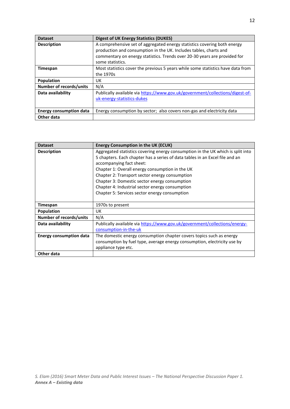| <b>Dataset</b>                 | <b>Digest of UK Energy Statistics (DUKES)</b>                                   |
|--------------------------------|---------------------------------------------------------------------------------|
| <b>Description</b>             | A comprehensive set of aggregated energy statistics covering both energy        |
|                                | production and consumption in the UK. Includes tables, charts and               |
|                                | commentary on energy statistics. Trends over 20-30 years are provided for       |
|                                | some statistics.                                                                |
| <b>Timespan</b>                | Most statistics cover the previous 5 years while some statistics have data from |
|                                | the 1970s                                                                       |
| Population                     | UK                                                                              |
| Number of records/units        | N/A                                                                             |
| Data availability              | Publically available via https://www.gov.uk/government/collections/digest-of-   |
|                                | uk-energy-statistics-dukes                                                      |
|                                |                                                                                 |
| <b>Energy consumption data</b> | Energy consumption by sector; also covers non-gas and electricity data          |
| Other data                     |                                                                                 |

| <b>Dataset</b>                 | <b>Energy Consumption in the UK (ECUK)</b>                                                                                                                                                                                                                                                                                                                                                                                                            |
|--------------------------------|-------------------------------------------------------------------------------------------------------------------------------------------------------------------------------------------------------------------------------------------------------------------------------------------------------------------------------------------------------------------------------------------------------------------------------------------------------|
| <b>Description</b>             | Aggregated statistics covering energy consumption in the UK which is split into<br>5 chapters. Each chapter has a series of data tables in an Excel file and an<br>accompanying fact sheet:<br>Chapter 1: Overall energy consumption in the UK<br>Chapter 2: Transport sector energy consumption<br>Chapter 3: Domestic sector energy consumption<br>Chapter 4: Industrial sector energy consumption<br>Chapter 5: Services sector energy consumption |
| Timespan                       | 1970s to present                                                                                                                                                                                                                                                                                                                                                                                                                                      |
| <b>Population</b>              | UK                                                                                                                                                                                                                                                                                                                                                                                                                                                    |
| <b>Number of records/units</b> | N/A                                                                                                                                                                                                                                                                                                                                                                                                                                                   |
| Data availability              | Publically available via https://www.gov.uk/government/collections/energy-<br>consumption-in-the-uk                                                                                                                                                                                                                                                                                                                                                   |
| <b>Energy consumption data</b> | The domestic energy consumption chapter covers topics such as energy<br>consumption by fuel type, average energy consumption, electricity use by<br>appliance type etc.                                                                                                                                                                                                                                                                               |
| Other data                     |                                                                                                                                                                                                                                                                                                                                                                                                                                                       |